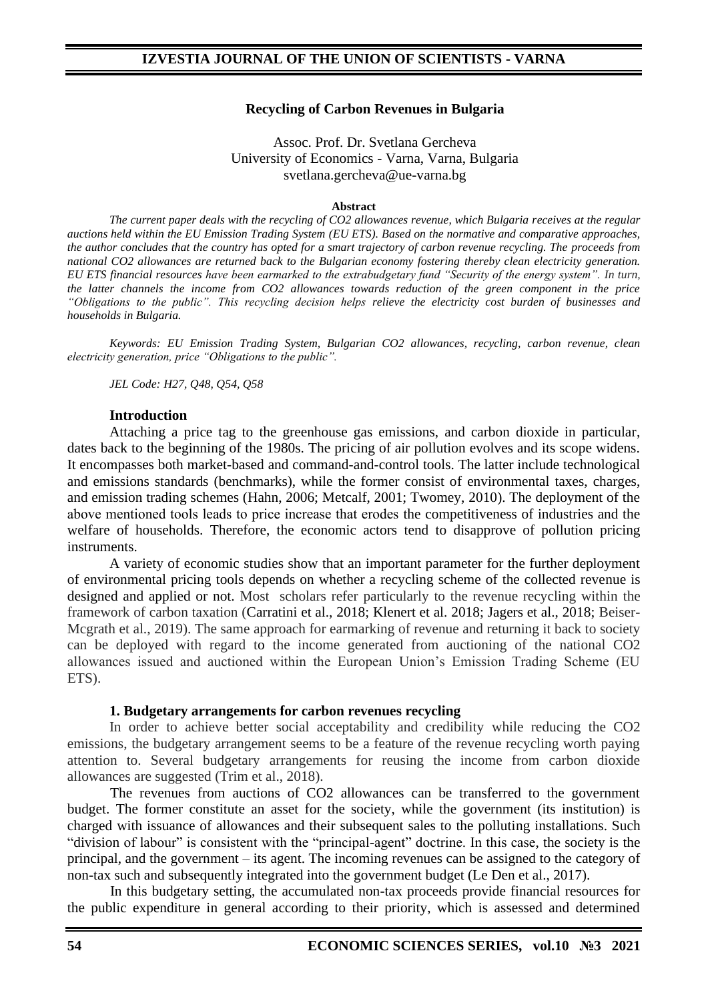#### **Recycling of Carbon Revenues in Bulgaria**

#### Assoc. Prof. Dr. Svetlana Gercheva University of Economics - Varna, Varna, Bulgaria svetlana.gercheva@ue-varna.bg

#### **Abstract**

*The current paper deals with the recycling of CO2 allowances revenue, which Bulgaria receives at the regular auctions held within the EU Emission Trading System (EU ETS). Based on the normative and comparative approaches, the author concludes that the country has opted for a smart trajectory of carbon revenue recycling. The proceeds from national CO2 allowances are returned back to the Bulgarian economy fostering thereby clean electricity generation. EU ETS financial resources have been earmarked to the extrabudgetary fund "Security of the energy system". In turn, the latter channels the income from CO2 allowances towards reduction of the green component in the price "Obligations to the public". This recycling decision helps relieve the electricity cost burden of businesses and households in Bulgaria.*

*Keywords: EU Emission Trading System, Bulgarian CO2 allowances, recycling, carbon revenue, clean electricity generation, price "Obligations to the public".*

*JEL Code: H27, Q48, Q54, Q58*

#### **Introduction**

Attaching a price tag to the greenhouse gas emissions, and carbon dioxide in particular, dates back to the beginning of the 1980s. The pricing of air pollution evolves and its scope widens. It encompasses both market-based and command-and-control tools. The latter include technological and emissions standards (benchmarks), while the former consist of environmental taxes, charges, and emission trading schemes (Hahn, 2006; Metcalf, 2001; Twomey, 2010). The deployment of the above mentioned tools leads to price increase that еrodes the competitiveness of industries and the welfare of households. Therefore, the economic actors tend to disapprove of pollution pricing instruments.

A variety of economic studies show that an important parameter for the further deployment of environmental pricing tools depends on whether a recycling scheme of the collected revenue is designed and applied or not. Most scholars refer particularly to the revenue recycling within the framework of carbon taxation (Carratini et al., 2018; Klenert et al. 2018; Jagers et al., 2018; Beiser-Mcgrath et al., 2019). The same approach for earmarking of revenue and returning it back to society can be deployed with regard to the income generated from auctioning of the national CO2 allowances issued and auctioned within the European Union's Emission Trading Scheme (EU ETS).

#### **1. Budgetary arrangements for carbon revenues recycling**

In order to achieve better social acceptability and credibility while reducing the CO2 emissions, the budgetary arrangement seems to be a feature of the revenue recycling worth paying attention to. Several budgetary arrangements for reusing the income from carbon dioxide allowances are suggested (Trim et al., 2018).

The revenues from auctions of CO2 allowances can be transferred to the government budget. The former constitute an asset for the society, while the government (its institution) is charged with issuance of allowances and their subsequent sales to the polluting installations. Such "division of labour" is consistent with the "principal-agent" doctrine. In this case, the society is the principal, and the government – its agent. The incoming revenues can be assigned to the category of non-tax such and subsequently integrated into the government budget (Le Den et al., 2017).

In this budgetary setting, the accumulated non-tax proceeds provide financial resources for the public expenditure in general according to their priority, which is assessed and determined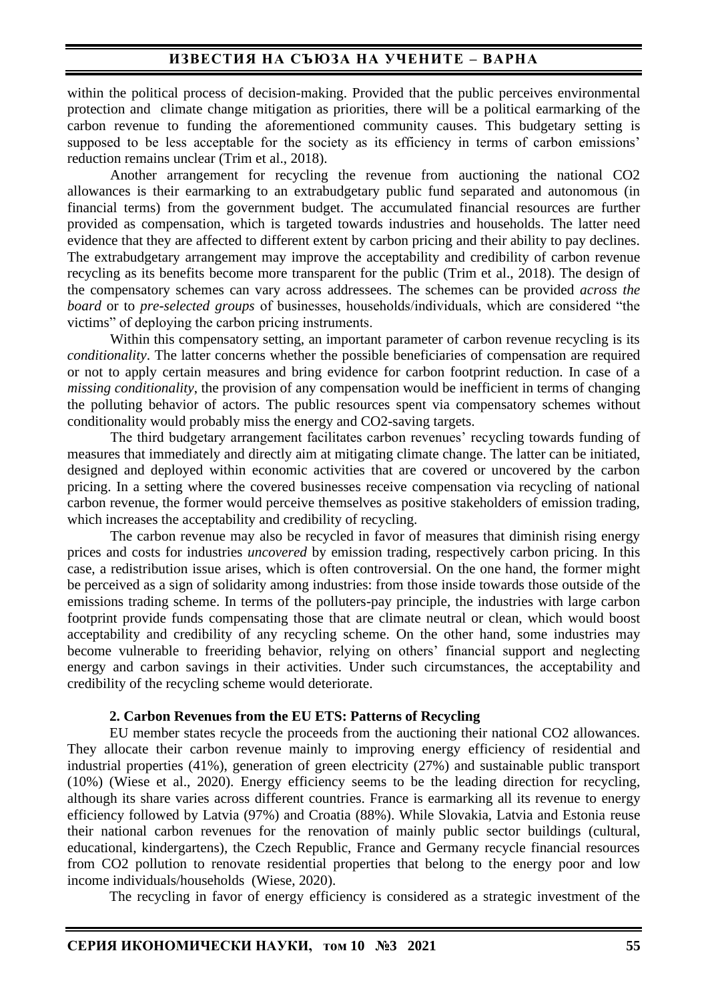## **ИЗВЕСТИЯ НА СЪЮЗА НА УЧЕНИТЕ – ВАРНА**

within the political process of decision-making. Provided that the public perceives environmental protection and climate change mitigation as priorities, there will be a political earmarking of the carbon revenue to funding the aforementioned community causes. This budgetary setting is supposed to be less acceptable for the society as its efficiency in terms of carbon emissions' reduction remains unclear (Trim et al., 2018).

Another arrangement for recycling the revenue from auctioning the national CO2 allowances is their earmarking to an extrabudgetary public fund separated and autonomous (in financial terms) from the government budget. The accumulated financial resources are further provided as compensation, which is targeted towards industries and households. The latter need evidence that they are affected to different extent by carbon pricing and their ability to pay declines. The extrabudgetary arrangement may improve the acceptability and credibility of carbon revenue recycling as its benefits become more transparent for the public (Trim et al., 2018). The design of the compensatory schemes can vary across addressees. The schemes can be provided *across the board* or to *pre-selected groups* of businesses, households/individuals, which are considered "the victims" of deploying the carbon pricing instruments.

Within this compensatory setting, an important parameter of carbon revenue recycling is its *conditionality*. The latter concerns whether the possible beneficiaries of compensation are required or not to apply certain measures and bring evidence for carbon footprint reduction. In case of a *missing conditionality*, the provision of any compensation would be inefficient in terms of changing the polluting behavior of actors. The public resources spent via compensatory schemes without conditionality would probably miss the energy and CO2-saving targets.

The third budgetary arrangement facilitates carbon revenues' recycling towards funding of measures that immediately and directly aim at mitigating climate change. The latter can be initiated, designed and deployed within economic activities that are covered or uncovered by the carbon pricing. In a setting where the covered businesses receive compensation via recycling of national carbon revenue, the former would perceive themselves as positive stakeholders of emission trading, which increases the acceptability and credibility of recycling.

The carbon revenue may also be recycled in favor of measures that diminish rising energy prices and costs for industries *uncovered* by emission trading, respectively carbon pricing. In this case, a redistribution issue arises, which is often controversial. On the one hand, the former might be perceived as a sign of solidarity among industries: from those inside towards those outside of the emissions trading scheme. In terms of the polluters-pay principle, the industries with large carbon footprint provide funds compensating those that are climate neutral or clean, which would boost acceptability and credibility of any recycling scheme. On the other hand, some industries may become vulnerable to freeriding behavior, relying on others' financial support and neglecting energy and carbon savings in their activities. Under such circumstances, the acceptability and credibility of the recycling scheme would deteriorate.

#### **2. Carbon Revenues from the EU ETS: Patterns of Recycling**

EU member states recycle the proceeds from the auctioning their national CO2 allowances. They allocate their carbon revenue mainly to improving energy efficiency of residential and industrial properties (41%), generation of green electricity (27%) and sustainable public transport (10%) (Wiese et al., 2020). Energy efficiency seems to be the leading direction for recycling, although its share varies across different countries. France is earmarking all its revenue to energy efficiency followed by Latvia (97%) and Croatia (88%). While Slovakia, Latvia and Estonia reuse their national carbon revenues for the renovation of mainly public sector buildings (cultural, educational, kindergartens), the Czech Republic, France and Germany recycle financial resources from CO2 pollution to renovate residential properties that belong to the energy poor and low income individuals/households (Wiese, 2020).

The recycling in favor of energy efficiency is considered as a strategic investment of the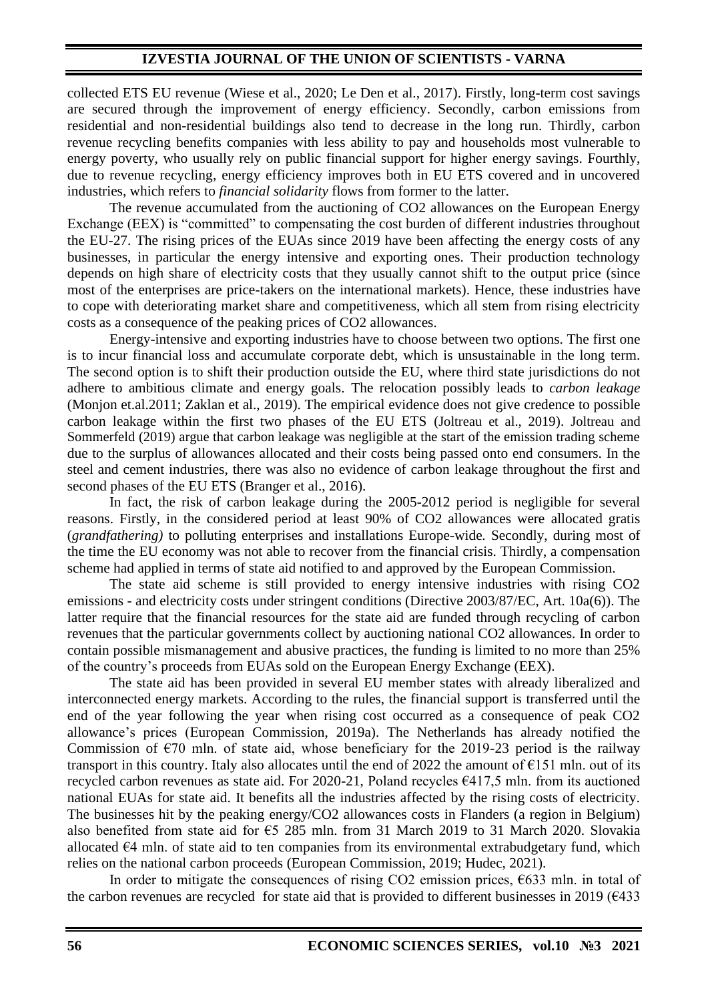# **IZVESTIA JOURNAL OF THE UNION OF SCIENTISTS - VARNA**

collected ETS EU revenue (Wiese et al., 2020; Le Den et al., 2017). Firstly, long-term cost savings are secured through the improvement of energy efficiency. Secondly, carbon emissions from residential and non-residential buildings also tend to decrease in the long run. Thirdly, carbon revenue recycling benefits companies with less ability to pay and households most vulnerable to energy poverty, who usually rely on public financial support for higher energy savings. Fourthly, due to revenue recycling, energy efficiency improves both in EU ETS covered and in uncovered industries, which refers to *financial solidarity* flows from former to the latter.

The revenue accumulated from the auctioning of CO2 allowances on the European Energy Exchange (EEX) is "committed" to compensating the cost burden of different industries throughout the EU-27. The rising prices of the EUAs since 2019 have been affecting the energy costs of any businesses, in particular the energy intensive and exporting ones. Their production technology depends on high share of electricity costs that they usually cannot shift to the output price (since most of the enterprises are price-takers on the international markets). Hence, these industries have to cope with deteriorating market share and competitiveness, which all stem from rising electricity costs as a consequence of the peaking prices of CO2 allowances.

Energy-intensive and exporting industries have to choose between two options. The first one is to incur financial loss and accumulate corporate debt, which is unsustainable in the long term. The second option is to shift their production outside the EU, where third state jurisdictions do not adhere to ambitious climate and energy goals. The relocation possibly leads to *carbon leakage*  (Monjon et.al.2011; Zaklan et al., 2019). The empirical evidence does not give credence to possible carbon leakage within the first two phases of the EU ETS (Joltreau et al., 2019). Joltreau and Sommerfeld (2019) argue that carbon leakage was negligible at the start of the emission trading scheme due to the surplus of allowances allocated and their costs being passed onto end consumers. In the steel and cement industries, there was also no evidence of carbon leakage throughout the first and second phases of the EU ETS (Branger et al., 2016).

In fact, the risk of carbon leakage during the 2005-2012 period is negligible for several reasons. Firstly, in the considered period at least 90% of CO2 allowances were allocated gratis (*grandfathering)* to polluting enterprises and installations Europe-wide*.* Secondly, during most of the time the EU economy was not able to recover from the financial crisis. Thirdly, a compensation scheme had applied in terms of state aid notified to and approved by the European Commission.

The state aid scheme is still provided to energy intensive industries with rising CO2 emissions - and electricity costs under stringent conditions (Directive 2003/87/EC, Art. 10a(6)). The latter require that the financial resources for the state aid are funded through recycling of carbon revenues that the particular governments collect by auctioning national CO2 allowances. In order to contain possible mismanagement and abusive practices, the funding is limited to no more than 25% of the country's proceeds from EUAs sold on the European Energy Exchange (EEX).

The state aid has been provided in several EU member states with already liberalized and interconnected energy markets. According to the rules, the financial support is transferred until the end of the year following the year when rising cost occurred as a consequence of peak CO2 allowance's prices (Еuropean Commission, 2019a). The Netherlands has already notified the Commission of  $\epsilon$ 70 mln. of state aid, whose beneficiary for the 2019-23 period is the railway transport in this country. Italy also allocates until the end of 2022 the amount of  $E151$  mln. out of its recycled carbon revenues as state aid. For 2020-21, Poland recycles €417,5 mln. from its auctioned national EUAs for state aid. It benefits all the industries affected by the rising costs of electricity. The businesses hit by the peaking energy/CO2 allowances costs in Flanders (a region in Belgium) also benefited from state aid for  $65\,285$  mln. from 31 March 2019 to 31 March 2020. Slovakia allocated €4 mln. of state aid to ten companies from its environmental extrabudgetary fund, which relies on the national carbon proceeds (European Commission, 2019; Hudec, 2021).

In order to mitigate the consequences of rising CO2 emission prices,  $\epsilon$ 633 mln. in total of the carbon revenues are recycled for state aid that is provided to different businesses in 2019 ( $\epsilon$ 433)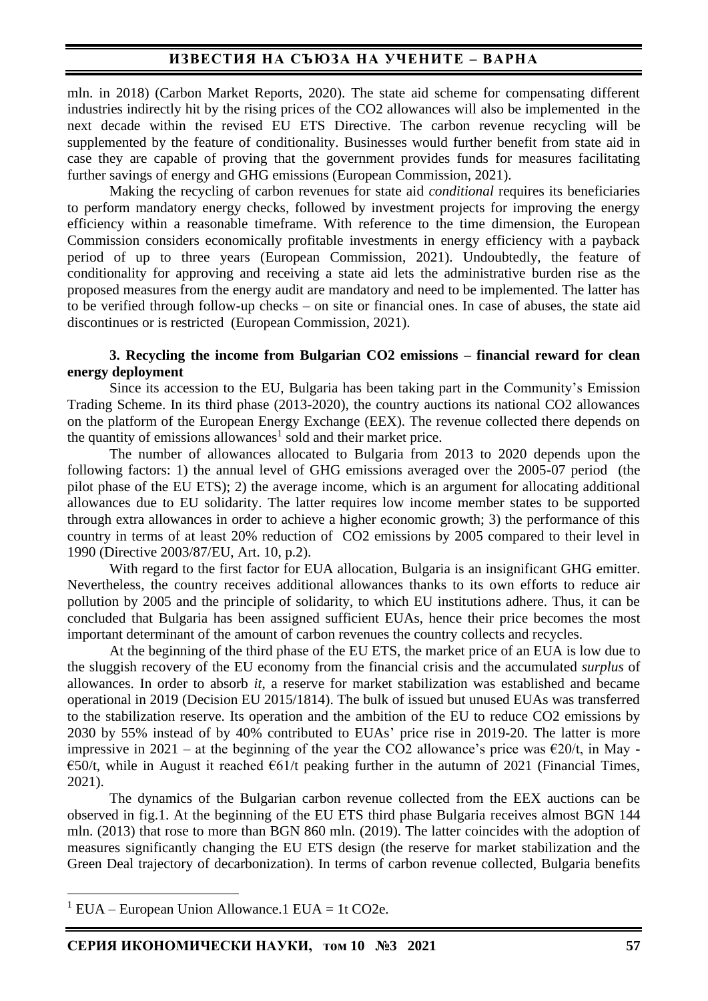# **ИЗВЕСТИЯ НА СЪЮЗА НА УЧЕНИТЕ – ВАРНА**

mln. in 2018) (Carbon Market Reports, 2020). The state aid scheme for compensating different industries indirectly hit by the rising prices of the CO2 allowances will also be implemented in the next decade within the revised EU ETS Directive. The carbon revenue recycling will be supplemented by the feature of conditionality. Businesses would further benefit from state aid in case they are capable of proving that the government provides funds for measures facilitating further savings of energy and GHG emissions (European Commission, 2021).

Making the recycling of carbon revenues for state aid *conditional* requires its beneficiaries to perform mandatory energy checks, followed by investment projects for improving the energy efficiency within a reasonable timeframe. With reference to the time dimension, the European Commission considers economically profitable investments in energy efficiency with a payback period of up to three years (European Commission, 2021). Undoubtedly, the feature of conditionality for approving and receiving a state aid lets the administrative burden rise as the proposed measures from the energy audit are mandatory and need to be implemented. The latter has to be verified through follow-up checks – on site or financial ones. In case of abuses, the state aid discontinues or is restricted (European Commission, 2021).

#### **3. Recycling the income from Bulgarian CO2 emissions – financial reward for clean energy deployment**

Since its accession to the EU, Bulgaria has been taking part in the Community's Emission Trading Scheme. In its third phase (2013-2020), the country auctions its national CO2 allowances on the platform of the European Energy Exchange (EEX). The revenue collected there depends on the quantity of emissions allowances<sup>1</sup> sold and their market price.

The number of allowances allocated to Bulgaria from 2013 to 2020 depends upon the following factors: 1) the annual level of GHG emissions averaged over the 2005-07 period (the pilot phase of the EU ETS); 2) the average income, which is an argument for allocating additional allowances due to EU solidarity. The latter requires low income member states to be supported through extra allowances in order to achieve a higher economic growth; 3) the performance of this country in terms of at least 20% reduction of CO2 emissions by 2005 compared to their level in 1990 (Directive 2003/87/EU, Art. 10, p.2).

With regard to the first factor for EUA allocation. Bulgaria is an insignificant GHG emitter. Nevertheless, the country receives additional allowances thanks to its own efforts to reduce air pollution by 2005 and the principle of solidarity, to which EU institutions adhere. Thus, it can be concluded that Bulgaria has been assigned sufficient EUAs, hence their price becomes the most important determinant of the amount of carbon revenues the country collects and recycles.

At the beginning of the third phase of the EU ETS, the market price of an EUA is low due to the sluggish recovery of the EU economy from the financial crisis and the accumulated *surplus* of allowances. In order to absorb *it*, a reserve for market stabilization was established and became operational in 2019 (Decision EU 2015/1814). The bulk of issued but unused EUAs was transferred to the stabilization reserve. Its operation and the ambition of the EU to reduce CO2 emissions by 2030 by 55% instead of by 40% contributed to EUAs' price rise in 2019-20. The latter is more impressive in 2021 – at the beginning of the year the CO2 allowance's price was  $\epsilon$ 20/t, in May - $\epsilon$ 50/t, while in August it reached  $\epsilon$ 61/t peaking further in the autumn of 2021 (Financial Times, 2021).

The dynamics of the Bulgarian carbon revenue collected from the EEX auctions can be observed in fig.1. At the beginning of the EU ETS third phase Bulgaria receives almost BGN 144 mln. (2013) that rose to more than BGN 860 mln. (2019). The latter coincides with the adoption of measures significantly changing the EU ETS design (the reserve for market stabilization and the Green Deal trajectory of decarbonization). In terms of carbon revenue collected, Bulgaria benefits

 $1$  EUA – European Union Allowance.1 EUA = 1t CO2e.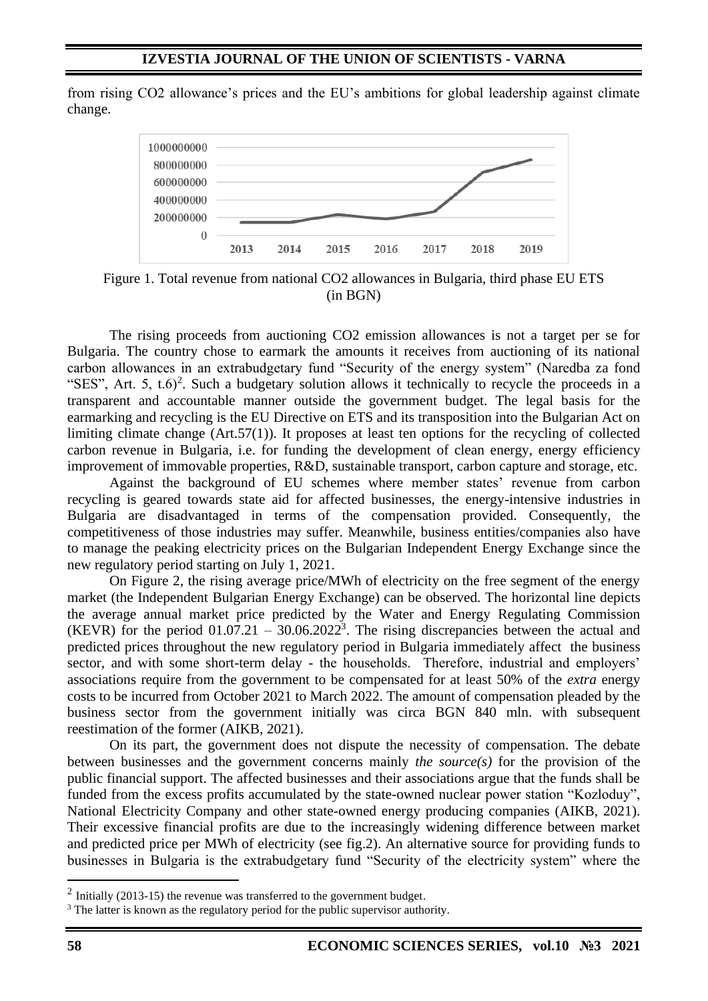from rising CO2 allowance's prices and the EU's ambitions for global leadership against climate change.



Figure 1. Total revenue from national CO2 allowances in Bulgaria, third phase EU ETS (in BGN)

The rising proceeds from auctioning CO2 emission allowances is not a target per se for Bulgaria. The country chose to earmark the amounts it receives from auctioning of its national carbon allowances in an extrabudgetary fund "Security of the energy system" (Naredba za fond "SES", Art. 5,  $t.6$ <sup>2</sup>. Such a budgetary solution allows it technically to recycle the proceeds in a transparent and accountable manner outside the government budget. The legal basis for the earmarking and recycling is the EU Directive on ETS and its transposition into the Bulgarian Act on limiting climate change (Art.57(1)). It proposes at least ten options for the recycling of collected carbon revenue in Bulgaria, i.e. for funding the development of clean energy, energy efficiency improvement of immovable properties, R&D, sustainable transport, carbon capture and storage, etc.

Against the background of EU schemes where member states' revenue from carbon recycling is geared towards state aid for affected businesses, the energy-intensive industries in Bulgaria are disadvantaged in terms of the compensation provided. Consequently, the competitiveness of those industries may suffer. Meanwhile, business entities/companies also have to manage the peaking electricity prices on the Bulgarian Independent Energy Exchange since the new regulatory period starting on July 1, 2021.

On Figure 2, the rising average price/MWh of electricity on the free segment of the energy market (the Independent Bulgarian Energy Exchange) can be observed. The horizontal line depicts the average annual market price predicted by the Water and Energy Regulating Commission (KEVR) for the period  $01.07.21 - 30.06.2022<sup>3</sup>$ . The rising discrepancies between the actual and predicted prices throughout the new regulatory period in Bulgaria immediately affect the business sector, and with some short-term delay - the households. Therefore, industrial and employers' associations require from the government to be compensated for at least 50% of the *extra* energy costs to be incurred from October 2021 to March 2022. The amount of compensation pleaded by the business sector from the government initially was circa BGN 840 mln. with subsequent reestimation of the former (AIKB, 2021).

On its part, the government does not dispute the necessity of compensation. The debate between businesses and the government concerns mainly *the source(s)* for the provision of the public financial support. The affected businesses and their associations argue that the funds shall be funded from the excess profits accumulated by the state-owned nuclear power station "Kozloduy", National Electricity Company and other state-owned energy producing companies (AIKB, 2021). Their excessive financial profits are due to the increasingly widening difference between market and predicted price per MWh of electricity (see fig.2). An alternative source for providing funds to businesses in Bulgaria is the extrabudgetary fund "Security of the electricity system" where the

 $2$  Initially (2013-15) the revenue was transferred to the government budget.

<sup>&</sup>lt;sup>3</sup> The latter is known as the regulatory period for the public supervisor authority.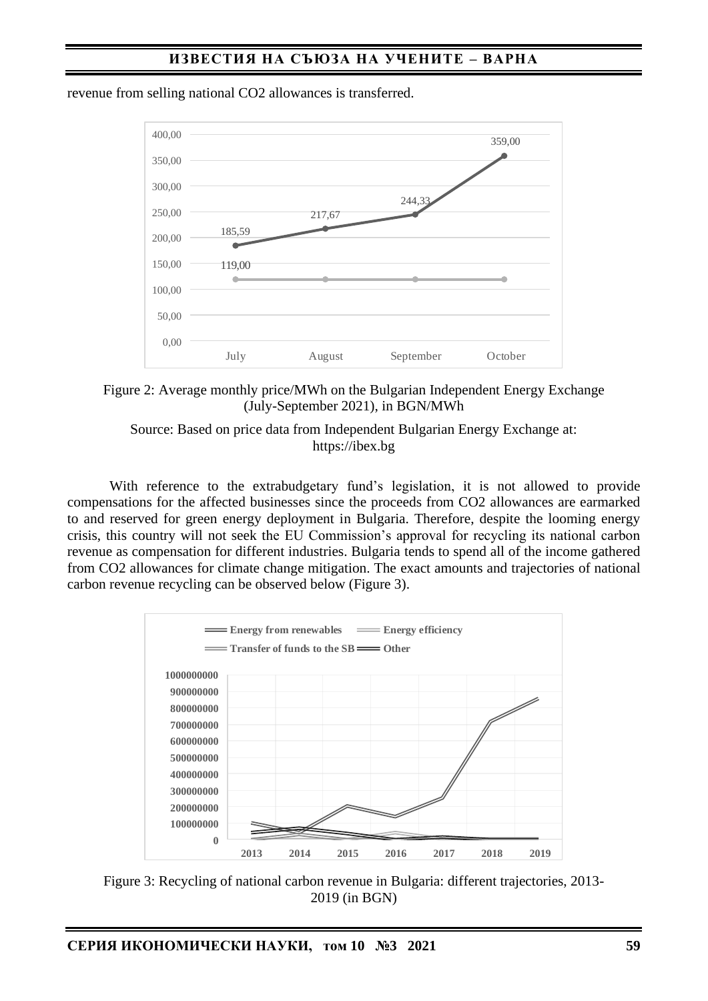

revenue from selling national CO2 allowances is transferred.



Source: Based on price data from Independent Bulgarian Energy Exchange at: https://ibex.bg

With reference to the extrabudgetary fund's legislation, it is not allowed to provide compensations for the affected businesses since the proceeds from CO2 allowances are earmarked to and reserved for green energy deployment in Bulgaria. Therefore, despite the looming energy crisis, this country will not seek the EU Commission's approval for recycling its national carbon revenue as compensation for different industries. Bulgaria tends to spend all of the income gathered from CO2 allowances for climate change mitigation. The exact amounts and trajectories of national carbon revenue recycling can be observed below (Figure 3).



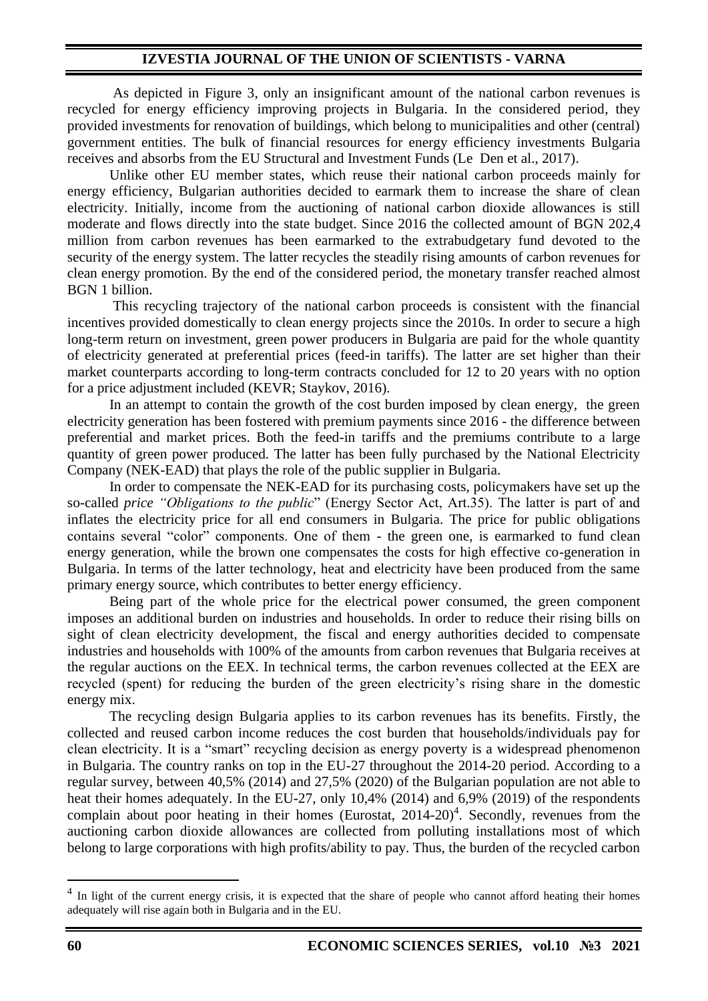## **IZVESTIA JOURNAL OF THE UNION OF SCIENTISTS - VARNA**

As depicted in Figure 3, only an insignificant amount of the national carbon revenues is recycled for energy efficiency improving projects in Bulgaria. In the considered period, they provided investments for renovation of buildings, which belong to municipalities and other (central) government entities. The bulk of financial resources for energy efficiency investments Bulgaria receives and absorbs from the EU Structural and Investment Funds (Le Den et al., 2017).

Unlike other EU member states, which reuse their national carbon proceeds mainly for energy efficiency, Bulgarian authorities decided to earmark them to increase the share of clean electricity. Initially, income from the auctioning of national carbon dioxide allowances is still moderate and flows directly into the state budget. Since 2016 the collected amount of BGN 202,4 million from carbon revenues has been earmarked to the extrabudgetary fund devoted to the security of the energy system. The latter recycles the steadily rising amounts of carbon revenues for clean energy promotion. By the end of the considered period, the monetary transfer reached almost BGN 1 billion.

This recycling trajectory of the national carbon proceeds is consistent with the financial incentives provided domestically to clean energy projects since the 2010s. In order to secure a high long-term return on investment, green power producers in Bulgaria are paid for the whole quantity of electricity generated at preferential prices (feed-in tariffs). The latter are set higher than their market counterparts according to long-term contracts concluded for 12 to 20 years with no option for a price adjustment included (KEVR; Staykov, 2016).

In an attempt to contain the growth of the cost burden imposed by clean energy, the green electricity generation has been fostered with premium payments since 2016 - the difference between preferential and market prices. Both the feed-in tariffs and the premiums contribute to a large quantity of green power produced. The latter has been fully purchased by the National Electricity Company (NEK-EAD) that plays the role of the public supplier in Bulgaria.

In order to compensate the NEK-EAD for its purchasing costs, policymakers have set up the so-called *price "Obligations to the public*" (Energy Sector Act, Art.35). The latter is part of and inflates the electricity price for all end consumers in Bulgaria. The price for public obligations contains several "color" components. One of them - the green one, is earmarked to fund clean energy generation, while the brown one compensates the costs for high effective co-generation in Bulgaria. In terms of the latter technology, heat and electricity have been produced from the same primary energy source, which contributes to better energy efficiency.

Being part of the whole price for the electrical power consumed, the green component imposes an additional burden on industries and households. In order to reduce their rising bills on sight of clean electricity development, the fiscal and energy authorities decided to compensate industries and households with 100% of the amounts from carbon revenues that Bulgaria receives at the regular auctions on the EEX. In technical terms, the carbon revenues collected at the EEX are recycled (spent) for reducing the burden of the green electricity's rising share in the domestic energy mix.

The recycling design Bulgaria applies to its carbon revenues has its benefits. Firstly, the collected and reused carbon income reduces the cost burden that households/individuals pay for clean electricity. It is a "smart" recycling decision as energy poverty is a widespread phenomenon in Bulgaria. The country ranks on top in the EU-27 throughout the 2014-20 period. According to a regular survey, between 40,5% (2014) and 27,5% (2020) of the Bulgarian population are not able to heat their homes adequately. In the EU-27, only 10,4% (2014) and 6,9% (2019) of the respondents complain about poor heating in their homes (Eurostat,  $2014-20$ )<sup>4</sup>. Secondly, revenues from the auctioning carbon dioxide allowances are collected from polluting installations most of which belong to large corporations with high profits/ability to pay. Thus, the burden of the recycled carbon

<sup>&</sup>lt;sup>4</sup> In light of the current energy crisis, it is expected that the share of people who cannot afford heating their homes adequately will rise again both in Bulgaria and in the EU.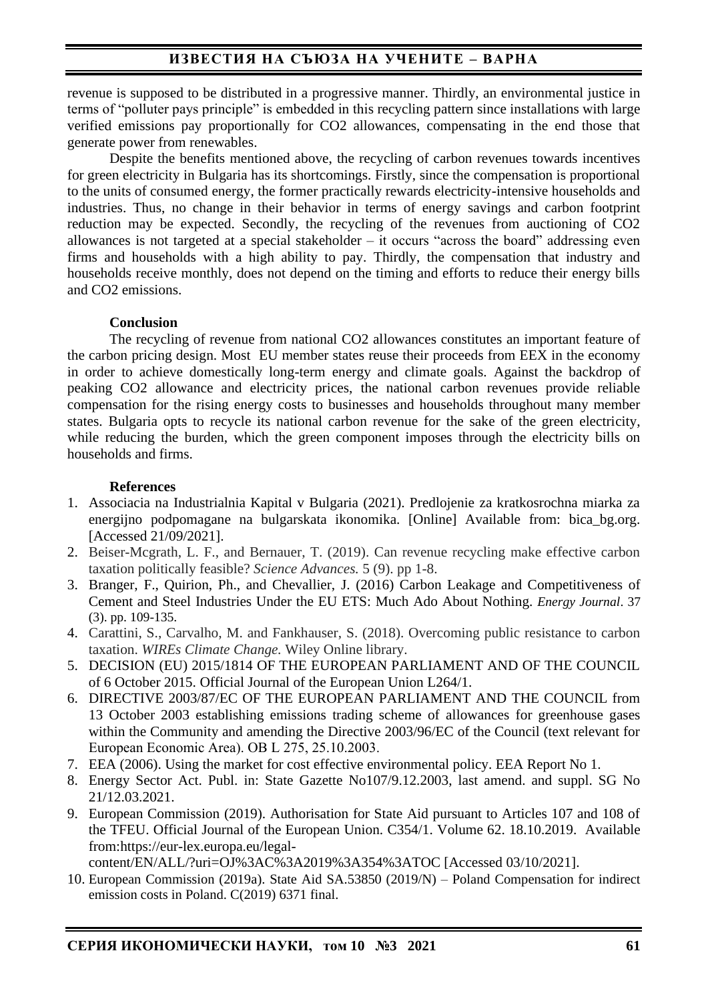revenue is supposed to be distributed in a progressive manner. Thirdly, an environmental justice in terms of "polluter pays principle" is embedded in this recycling pattern since installations with large verified emissions pay proportionally for CO2 allowances, compensating in the end those that generate power from renewables.

Despite the benefits mentioned above, the recycling of carbon revenues towards incentives for green electricity in Bulgaria has its shortcomings. Firstly, since the compensation is proportional to the units of consumed energy, the former practically rewards electricity-intensive households and industries. Thus, no change in their behavior in terms of energy savings and carbon footprint reduction may be expected. Secondly, the recycling of the revenues from auctioning of CO2 allowances is not targeted at a special stakeholder – it occurs "across the board" addressing even firms and households with a high ability to pay. Thirdly, the compensation that industry and households receive monthly, does not depend on the timing and efforts to reduce their energy bills and CO2 emissions.

## **Conclusion**

The recycling of revenue from national CO2 allowances constitutes an important feature of the carbon pricing design. Most EU member states reuse their proceeds from EEX in the economy in order to achieve domestically long-term energy and climate goals. Against the backdrop of peaking CO2 allowance and electricity prices, the national carbon revenues provide reliable compensation for the rising energy costs to businesses and households throughout many member states. Bulgaria opts to recycle its national carbon revenue for the sake of the green electricity, while reducing the burden, which the green component imposes through the electricity bills on households and firms.

# **References**

- 1. Associacia na Industrialnia Kapital v Bulgaria (2021). Predlojenie za kratkosrochna miarka za energijno podpomagane na bulgarskata ikonomika. [Online] Available from: bica\_bg.org. [Accessed 21/09/2021].
- 2. Beiser-Mcgrath, L. F., and Bernauer, T. (2019). Can revenue recycling make effective carbon taxation politically feasible? *Science Advances.* 5 (9). pp 1-8.
- 3. Branger, F., Quirion, Ph., and Chevallier, J. (2016) Carbon Leakage and Competitiveness of Cement and Steel Industries Under the EU ETS: Much Ado About Nothing. *Energy Journal*. 37 (3). pp. 109-135.
- 4. Carattini, S., Carvalho, M. and Fankhauser, S. (2018). Overcoming public resistance to carbon taxation. *WIREs Climate Change.* Wiley Online library.
- 5. DECISION (EU) 2015/1814 OF THE EUROPEAN PARLIAMENT AND OF THE COUNCIL of 6 October 2015. Official Journal of the European Union L264/1.
- 6. DIRECTIVE 2003/87/EC OF THE EUROPEAN PARLIAMENT AND THE COUNCIL from 13 October 2003 establishing emissions trading scheme of allowances for greenhouse gases within the Community and amending the Directive 2003/96/EC of the Council (text relevant for European Economic Area). ОВ L 275, 25.10.2003.
- 7. EEA (2006). Using the market for cost effective environmental policy. EEA Report No 1.
- 8. Energy Sector Act. Publ. in: State Gazette No107/9.12.2003, last amend. and suppl. SG No 21/12.03.2021.
- 9. European Commission (2019). Authorisation for State Aid pursuant to Articles 107 and 108 of the TFEU. Official Journal of the European Union. C354/1. Volume 62. 18.10.2019. Available from:https://eur-lex.europa.eu/legal-

content/EN/ALL/?uri=OJ%3AC%3A2019%3A354%3ATOC [Accessed 03/10/2021].

10. European Commission (2019a). State Aid SA.53850 (2019/N) – Poland Compensation for indirect emission costs in Poland. C(2019) 6371 final.